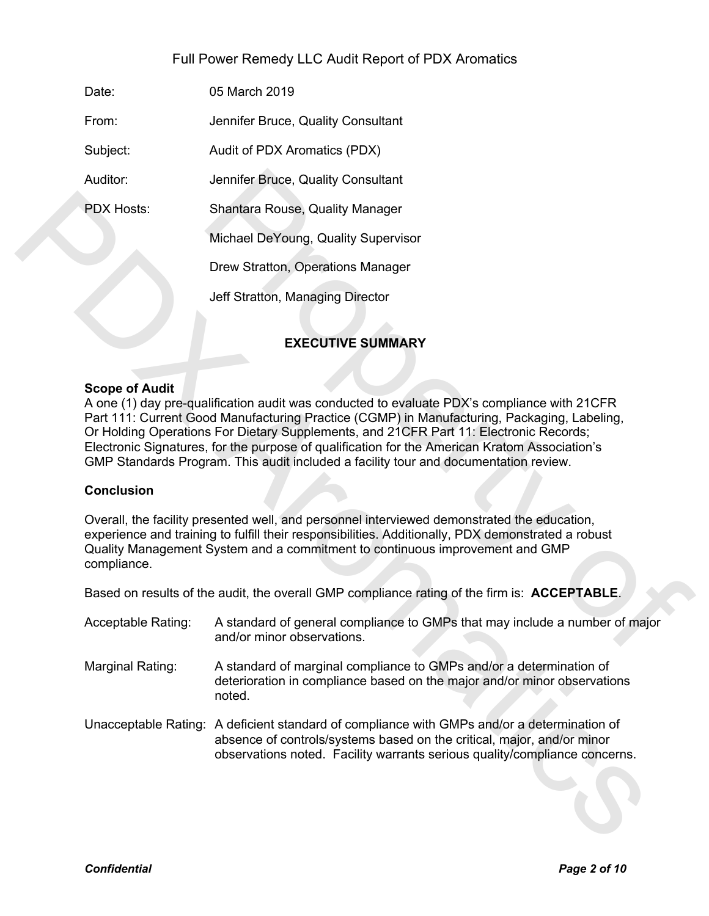# Full Power Remedy LLC Audit Report of PDX Aromatics

Date: 05 March 2019

From: Jennifer Bruce, Quality Consultant

Subject: Audit of PDX Aromatics (PDX)

Auditor: Jennifer Bruce, Quality Consultant

PDX Hosts: Shantara Rouse, Quality Manager

Michael DeYoung, Quality Supervisor

Drew Stratton, Operations Manager

Jeff Stratton, Managing Director

# **EXECUTIVE SUMMARY**

## **Scope of Audit**

A one (1) day pre-qualification audit was conducted to evaluate PDX's compliance with 21CFR Part 111: Current Good Manufacturing Practice (CGMP) in Manufacturing, Packaging, Labeling, Or Holding Operations For Dietary Supplements, and 21CFR Part 11: Electronic Records; Electronic Signatures, for the purpose of qualification for the American Kratom Association's GMP Standards Program. This audit included a facility tour and documentation review. Jennifer Bruce, Quality Consultant<br>
Shantara Rouse, Quality Manager<br>
Michael DeYoung, Quality Supervisor<br>
Drew Stratton, Operations Manager<br>
Jeff Stratton, Managing Director<br>
EXECUTIVE SUMMARY<br>
EXECUTIVE SUMMARY<br>
EXECUTIVE PDX Hosts: Shantara Rouse, Ocality Manager<br>
Michael DeYoung, Quality Supervisor<br>
Drew Stratton, Operations Manager<br>
Joff Stratton, Managing Director<br>
EXECUTIVE SUMMARY<br>
Scope of Audit<br>
A core (1) day pre-qualification audi

## **Conclusion**

Overall, the facility presented well, and personnel interviewed demonstrated the education, experience and training to fulfill their responsibilities. Additionally, PDX demonstrated a robust Quality Management System and a commitment to continuous improvement and GMP compliance.

Based on results of the audit, the overall GMP compliance rating of the firm is: **ACCEPTABLE**.

- Acceptable Rating: A standard of general compliance to GMPs that may include a number of major and/or minor observations.
- Marginal Rating: A standard of marginal compliance to GMPs and/or a determination of deterioration in compliance based on the major and/or minor observations noted.
- Unacceptable Rating: A deficient standard of compliance with GMPs and/or a determination of absence of controls/systems based on the critical, major, and/or minor observations noted. Facility warrants serious quality/compliance concerns.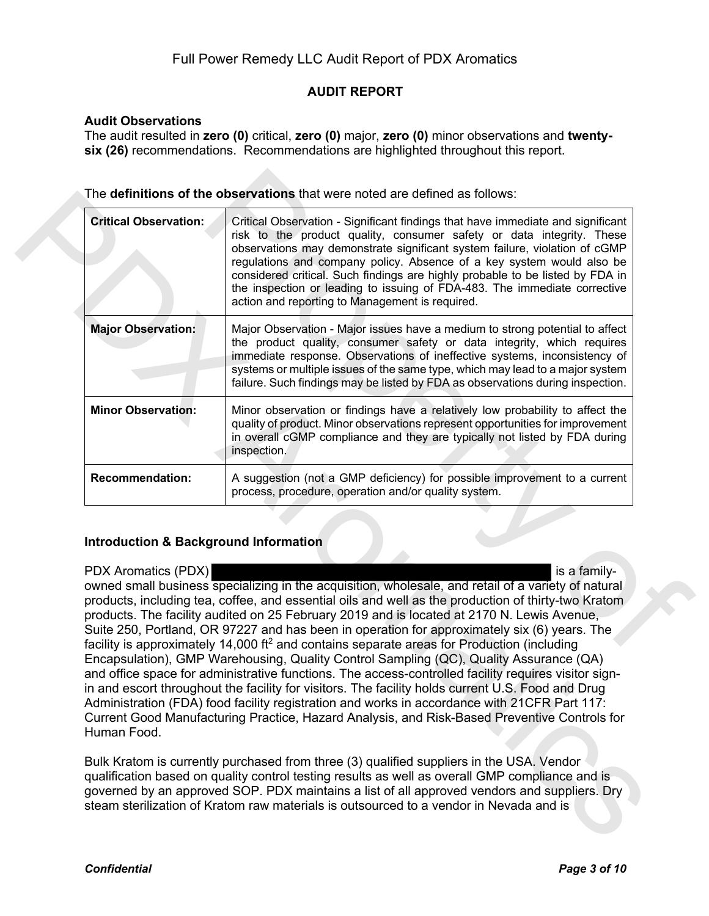## **AUDIT REPORT**

## **Audit Observations**

The audit resulted in **zero (0)** critical, **zero (0)** major, **zero (0)** minor observations and **twentysix (26)** recommendations. Recommendations are highlighted throughout this report.

| <b>Critical Observation:</b>                                                                  | Critical Observation - Significant findings that have immediate and significant<br>risk to the product quality, consumer safety or data integrity. These<br>observations may demonstrate significant system failure, violation of cGMP<br>regulations and company policy. Absence of a key system would also be<br>considered critical. Such findings are highly probable to be listed by FDA in<br>the inspection or leading to issuing of FDA-483. The immediate corrective<br>action and reporting to Management is required.                                                                                                                                                                                                                                                                                                                                                                                                                                                                                                          |  |  |
|-----------------------------------------------------------------------------------------------|-------------------------------------------------------------------------------------------------------------------------------------------------------------------------------------------------------------------------------------------------------------------------------------------------------------------------------------------------------------------------------------------------------------------------------------------------------------------------------------------------------------------------------------------------------------------------------------------------------------------------------------------------------------------------------------------------------------------------------------------------------------------------------------------------------------------------------------------------------------------------------------------------------------------------------------------------------------------------------------------------------------------------------------------|--|--|
| <b>Major Observation:</b>                                                                     | Major Observation - Major issues have a medium to strong potential to affect<br>the product quality, consumer safety or data integrity, which requires<br>immediate response. Observations of ineffective systems, inconsistency of<br>systems or multiple issues of the same type, which may lead to a major system<br>failure. Such findings may be listed by FDA as observations during inspection.<br>Minor observation or findings have a relatively low probability to affect the<br>quality of product. Minor observations represent opportunities for improvement<br>in overall cGMP compliance and they are typically not listed by FDA during<br>inspection.                                                                                                                                                                                                                                                                                                                                                                    |  |  |
| <b>Minor Observation:</b>                                                                     |                                                                                                                                                                                                                                                                                                                                                                                                                                                                                                                                                                                                                                                                                                                                                                                                                                                                                                                                                                                                                                           |  |  |
| <b>Recommendation:</b>                                                                        | A suggestion (not a GMP deficiency) for possible improvement to a current<br>process, procedure, operation and/or quality system.                                                                                                                                                                                                                                                                                                                                                                                                                                                                                                                                                                                                                                                                                                                                                                                                                                                                                                         |  |  |
|                                                                                               |                                                                                                                                                                                                                                                                                                                                                                                                                                                                                                                                                                                                                                                                                                                                                                                                                                                                                                                                                                                                                                           |  |  |
| <b>Introduction &amp; Background Information</b><br><b>PDX Aromatics (PDX)</b><br>Human Food. | is a family-<br>owned small business specializing in the acquisition, wholesale, and retail of a variety of natural<br>products, including tea, coffee, and essential oils and well as the production of thirty-two Kratom<br>products. The facility audited on 25 February 2019 and is located at 2170 N. Lewis Avenue,<br>Suite 250, Portland, OR 97227 and has been in operation for approximately six (6) years. The<br>facility is approximately 14,000 ft <sup>2</sup> and contains separate areas for Production (including<br>Encapsulation), GMP Warehousing, Quality Control Sampling (QC), Quality Assurance (QA)<br>and office space for administrative functions. The access-controlled facility requires visitor sign-<br>in and escort throughout the facility for visitors. The facility holds current U.S. Food and Drug<br>Administration (FDA) food facility registration and works in accordance with 21CFR Part 117:<br>Current Good Manufacturing Practice, Hazard Analysis, and Risk-Based Preventive Controls for |  |  |

## **Introduction & Background Information**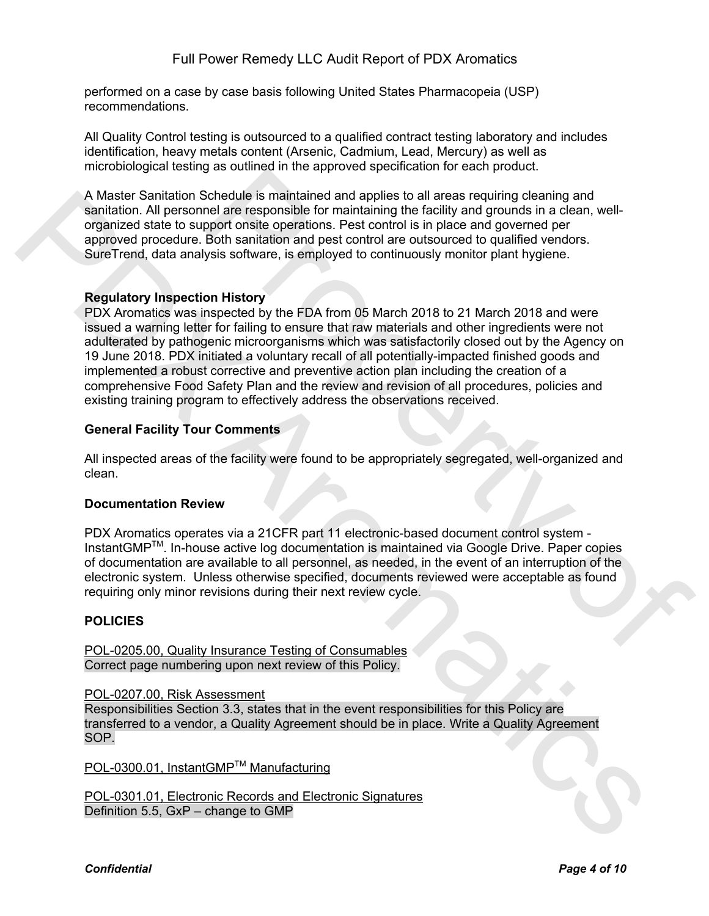performed on a case by case basis following United States Pharmacopeia (USP) recommendations.

All Quality Control testing is outsourced to a qualified contract testing laboratory and includes identification, heavy metals content (Arsenic, Cadmium, Lead, Mercury) as well as microbiological testing as outlined in the approved specification for each product.

A Master Sanitation Schedule is maintained and applies to all areas requiring cleaning and sanitation. All personnel are responsible for maintaining the facility and grounds in a clean, wellorganized state to support onsite operations. Pest control is in place and governed per approved procedure. Both sanitation and pest control are outsourced to qualified vendors. SureTrend, data analysis software, is employed to continuously monitor plant hygiene.

#### **Regulatory Inspection History**

PDX Aromatics was inspected by the FDA from 05 March 2018 to 21 March 2018 and were issued a warning letter for failing to ensure that raw materials and other ingredients were not adulterated by pathogenic microorganisms which was satisfactorily closed out by the Agency on 19 June 2018. PDX initiated a voluntary recall of all potentially-impacted finished goods and implemented a robust corrective and preventive action plan including the creation of a comprehensive Food Safety Plan and the review and revision of all procedures, policies and existing training program to effectively address the observations received. bishedule is maintained and applies to all areas requires<br>and the latter and applies to all areas requiring cleaning and<br>popert onsite operations. Pest control is in place and governed part<br>Both sanitation and pest control A Master Sanitation Schedule is maintained and applies to all areas regulated and applies to all areas regulated to a support and a support of the particular space of the control space of the control space of the control

## **General Facility Tour Comments**

All inspected areas of the facility were found to be appropriately segregated, well-organized and clean.

## **Documentation Review**

PDX Aromatics operates via a 21CFR part 11 electronic-based document control system - InstantGMPTM. In-house active log documentation is maintained via Google Drive. Paper copies of documentation are available to all personnel, as needed, in the event of an interruption of the electronic system. Unless otherwise specified, documents reviewed were acceptable as found requiring only minor revisions during their next review cycle.

## **POLICIES**

POL-0205.00, Quality Insurance Testing of Consumables Correct page numbering upon next review of this Policy.

#### POL-0207.00, Risk Assessment

Responsibilities Section 3.3, states that in the event responsibilities for this Policy are transferred to a vendor, a Quality Agreement should be in place. Write a Quality Agreement SOP.

POL-0300.01, InstantGMP™ Manufacturing

POL-0301.01, Electronic Records and Electronic Signatures Definition 5.5, GxP – change to GMP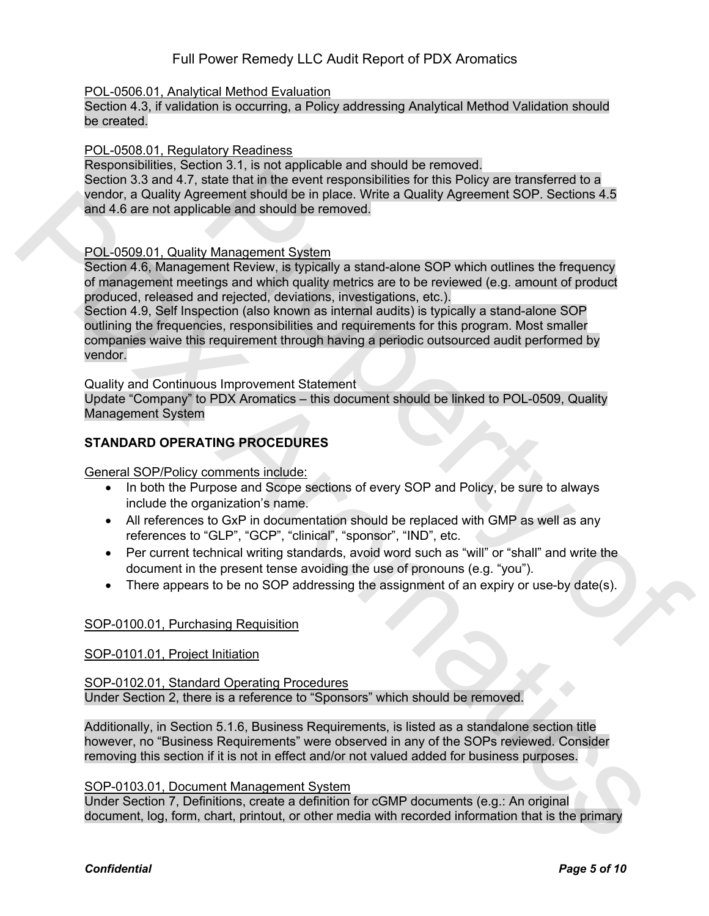# Full Power Remedy LLC Audit Report of PDX Aromatics

## POL-0506.01, Analytical Method Evaluation

Section 4.3, if validation is occurring, a Policy addressing Analytical Method Validation should be created.

#### POL-0508.01, Regulatory Readiness

Responsibilities, Section 3.1, is not applicable and should be removed. Section 3.3 and 4.7, state that in the event responsibilities for this Policy are transferred to a vendor, a Quality Agreement should be in place. Write a Quality Agreement SOP. Sections 4.5

# and 4.6 are not applicable and should be removed.

## POL-0509.01, Quality Management System

Section 4.6, Management Review, is typically a stand-alone SOP which outlines the frequency of management meetings and which quality metrics are to be reviewed (e.g. amount of product produced, released and rejected, deviations, investigations, etc.).

Section 4.9, Self Inspection (also known as internal audits) is typically a stand-alone SOP outlining the frequencies, responsibilities and requirements for this program. Most smaller companies waive this requirement through having a periodic outsourced audit performed by vendor. state that in the event responsibilities for this Policy are transferred to a<br>exement should be in place. Write a Quality Agreement SOP. Sections 4.5<br>cable and should be increase. Write a Quality Agreement SOP. Sections 4. vendor, a Quality Agreement should be in place. Write a Quality Agreement SOP, sections 4.5<br>and 4.6 are not applicable and should be romoved.<br>POL-0509.01, Quality Management System Scott of A Management mediating a band a

Quality and Continuous Improvement Statement

Update "Company" to PDX Aromatics – this document should be linked to POL-0509, Quality Management System

## **STANDARD OPERATING PROCEDURES**

General SOP/Policy comments include:

- In both the Purpose and Scope sections of every SOP and Policy, be sure to always include the organization's name.
- All references to GxP in documentation should be replaced with GMP as well as any references to "GLP", "GCP", "clinical", "sponsor", "IND", etc.
- Per current technical writing standards, avoid word such as "will" or "shall" and write the document in the present tense avoiding the use of pronouns (e.g. "you").
- There appears to be no SOP addressing the assignment of an expiry or use-by date(s).

## SOP-0100.01, Purchasing Requisition

## SOP-0101.01, Project Initiation

SOP-0102.01, Standard Operating Procedures Under Section 2, there is a reference to "Sponsors" which should be removed.

Additionally, in Section 5.1.6, Business Requirements, is listed as a standalone section title however, no "Business Requirements" were observed in any of the SOPs reviewed. Consider removing this section if it is not in effect and/or not valued added for business purposes.

## SOP-0103.01, Document Management System

Under Section 7, Definitions, create a definition for cGMP documents (e.g.: An original document, log, form, chart, printout, or other media with recorded information that is the primary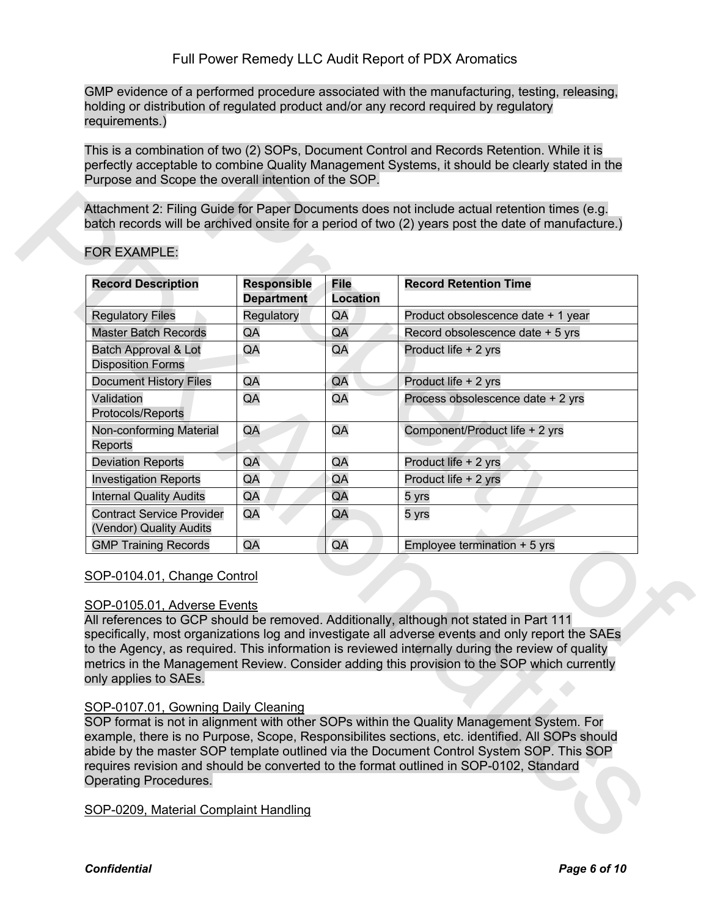GMP evidence of a performed procedure associated with the manufacturing, testing, releasing, holding or distribution of regulated product and/or any record required by regulatory requirements.)

This is a combination of two (2) SOPs, Document Control and Records Retention. While it is perfectly acceptable to combine Quality Management Systems, it should be clearly stated in the Purpose and Scope the overall intention of the SOP.

| <b>Record Description</b>                                   | <b>Responsible</b> | <b>File</b>     | <b>Record Retention Time</b>                                                                                                                                                                                                                                                                                                                                                                  |
|-------------------------------------------------------------|--------------------|-----------------|-----------------------------------------------------------------------------------------------------------------------------------------------------------------------------------------------------------------------------------------------------------------------------------------------------------------------------------------------------------------------------------------------|
|                                                             | <b>Department</b>  | <b>Location</b> |                                                                                                                                                                                                                                                                                                                                                                                               |
| <b>Regulatory Files</b>                                     | Regulatory         | QA              | Product obsolescence date + 1 year                                                                                                                                                                                                                                                                                                                                                            |
| <b>Master Batch Records</b>                                 | QA                 | QA              | Record obsolescence date + 5 yrs                                                                                                                                                                                                                                                                                                                                                              |
| Batch Approval & Lot<br><b>Disposition Forms</b>            | QA                 | QA              | Product life + 2 yrs                                                                                                                                                                                                                                                                                                                                                                          |
| <b>Document History Files</b>                               | QA                 | QA              | Product life + 2 yrs                                                                                                                                                                                                                                                                                                                                                                          |
| Validation<br>Protocols/Reports                             | QA                 | QA              | Process obsolescence date + 2 yrs                                                                                                                                                                                                                                                                                                                                                             |
| Non-conforming Material<br>Reports                          | QA                 | QA              | Component/Product life + 2 yrs                                                                                                                                                                                                                                                                                                                                                                |
| <b>Deviation Reports</b>                                    | QA                 | QA              | Product life + 2 yrs                                                                                                                                                                                                                                                                                                                                                                          |
| <b>Investigation Reports</b>                                | QA                 | QA              | Product life + 2 yrs                                                                                                                                                                                                                                                                                                                                                                          |
| <b>Internal Quality Audits</b>                              | QA                 | QA              | 5 yrs                                                                                                                                                                                                                                                                                                                                                                                         |
| <b>Contract Service Provider</b><br>(Vendor) Quality Audits | QA                 | QA              | 5 yrs                                                                                                                                                                                                                                                                                                                                                                                         |
| <b>GMP Training Records</b>                                 | QA                 | QA              | Employee termination $+5$ yrs                                                                                                                                                                                                                                                                                                                                                                 |
| SOP-0104.01, Change Control                                 |                    |                 |                                                                                                                                                                                                                                                                                                                                                                                               |
| SOP-0105.01, Adverse Events<br>only applies to SAEs.        |                    |                 | All references to GCP should be removed. Additionally, although not stated in Part 111<br>specifically, most organizations log and investigate all adverse events and only report the SAEs<br>to the Agency, as required. This information is reviewed internally during the review of quality<br>metrics in the Management Review. Consider adding this provision to the SOP which currently |

## FOR EXAMPLE:

## SOP-0104.01, Change Control

## SOP-0105.01, Adverse Events

## SOP-0107.01, Gowning Daily Cleaning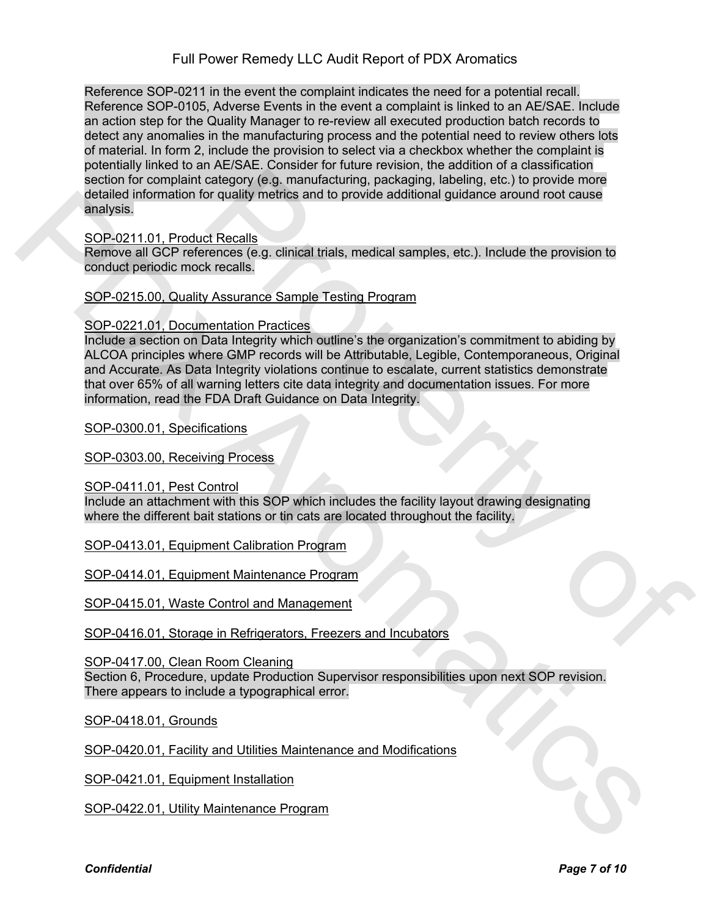Reference SOP-0211 in the event the complaint indicates the need for a potential recall. Reference SOP-0105, Adverse Events in the event a complaint is linked to an AE/SAE. Include an action step for the Quality Manager to re-review all executed production batch records to detect any anomalies in the manufacturing process and the potential need to review others lots of material. In form 2, include the provision to select via a checkbox whether the complaint is potentially linked to an AE/SAE. Consider for future revision, the addition of a classification section for complaint category (e.g. manufacturing, packaging, labeling, etc.) to provide more detailed information for quality metrics and to provide additional guidance around root cause analysis.

SOP-0211.01, Product Recalls

Remove all GCP references (e.g. clinical trials, medical samples, etc.). Include the provision to conduct periodic mock recalls.

SOP-0215.00, Quality Assurance Sample Testing Program

## SOP-0221.01, Documentation Practices

Include a section on Data Integrity which outline's the organization's commitment to abiding by ALCOA principles where GMP records will be Attributable, Legible, Contemporaneous, Original and Accurate. As Data Integrity violations continue to escalate, current statistics demonstrate that over 65% of all warning letters cite data integrity and documentation issues. For more information, read the FDA Draft Guidance on Data Integrity. category (e.g. manufacturing, packaging, labeling, etc.) to provide more<br>or quality metrics and to provide additional guidance around root cause<br>of Recalls<br>Assurance Sample Testing Program<br>Architectes (e.g. clinical trials detection more details.<br>
School and the structure control and the provide additional guidance around root cause<br>
SCH-221.01. Product Realis.<br>
Servers and GCP references (e.g. dinical trials, medical samples, e.e.). Include

SOP-0300.01, Specifications

SOP-0303.00, Receiving Process

SOP-0411.01, Pest Control

Include an attachment with this SOP which includes the facility layout drawing designating where the different bait stations or tin cats are located throughout the facility.

SOP-0413.01, Equipment Calibration Program

SOP-0414.01, Equipment Maintenance Program

SOP-0415.01, Waste Control and Management

SOP-0416.01, Storage in Refrigerators, Freezers and Incubators

SOP-0417.00, Clean Room Cleaning

Section 6, Procedure, update Production Supervisor responsibilities upon next SOP revision. There appears to include a typographical error.

SOP-0418.01, Grounds

SOP-0420.01, Facility and Utilities Maintenance and Modifications

SOP-0421.01, Equipment Installation

SOP-0422.01, Utility Maintenance Program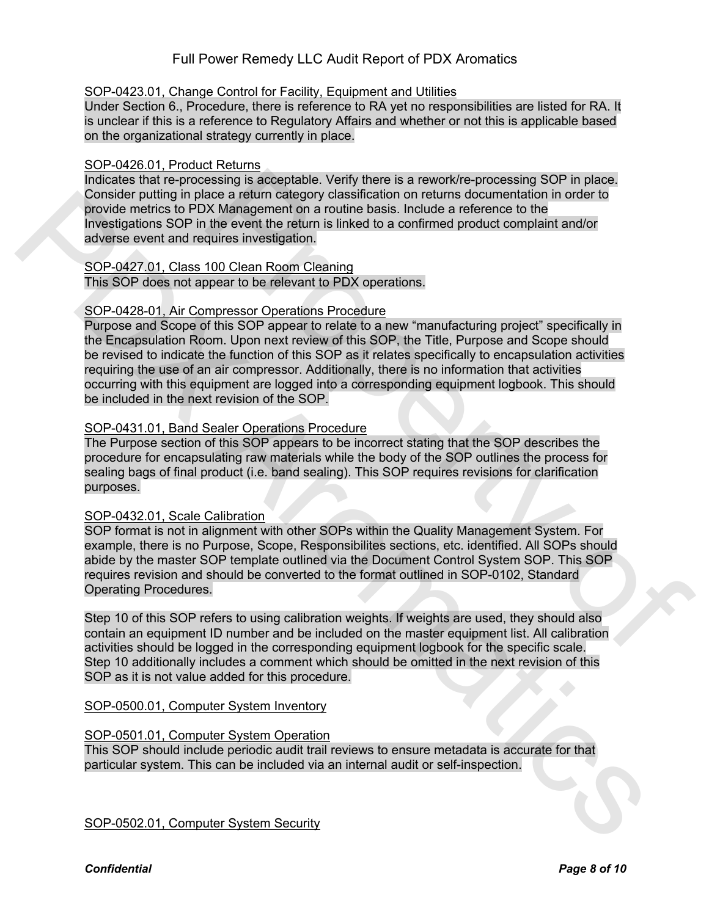# Full Power Remedy LLC Audit Report of PDX Aromatics

## SOP-0423.01, Change Control for Facility, Equipment and Utilities

Under Section 6., Procedure, there is reference to RA yet no responsibilities are listed for RA. It is unclear if this is a reference to Regulatory Affairs and whether or not this is applicable based on the organizational strategy currently in place.

## SOP-0426.01, Product Returns

Indicates that re-processing is acceptable. Verify there is a rework/re-processing SOP in place. Consider putting in place a return category classification on returns documentation in order to provide metrics to PDX Management on a routine basis. Include a reference to the Investigations SOP in the event the return is linked to a confirmed product complaint and/or adverse event and requires investigation.

# SOP-0427.01, Class 100 Clean Room Cleaning

This SOP does not appear to be relevant to PDX operations.

## SOP-0428-01, Air Compressor Operations Procedure

Purpose and Scope of this SOP appear to relate to a new "manufacturing project" specifically in the Encapsulation Room. Upon next review of this SOP, the Title, Purpose and Scope should be revised to indicate the function of this SOP as it relates specifically to encapsulation activities requiring the use of an air compressor. Additionally, there is no information that activities occurring with this equipment are logged into a corresponding equipment logbook. This should be included in the next revision of the SOP. essing is acceptable. Verify there is a rework/re-processing SOP in place.<br>
acce a return category classification on returns documentation in order to<br>
X Management on a routine basis. Include a reference to the<br>
the event Consider putting in place a return of algorithm consistention on returns occumentation in order to<br>provide motivics to PDX Managoment on a routine basis. Include a reformation in order to<br>investigations 50P in the event th

## SOP-0431.01, Band Sealer Operations Procedure

The Purpose section of this SOP appears to be incorrect stating that the SOP describes the procedure for encapsulating raw materials while the body of the SOP outlines the process for sealing bags of final product (i.e. band sealing). This SOP requires revisions for clarification purposes.

## SOP-0432.01, Scale Calibration

SOP format is not in alignment with other SOPs within the Quality Management System. For example, there is no Purpose, Scope, Responsibilites sections, etc. identified. All SOPs should abide by the master SOP template outlined via the Document Control System SOP. This SOP requires revision and should be converted to the format outlined in SOP-0102, Standard Operating Procedures.

Step 10 of this SOP refers to using calibration weights. If weights are used, they should also contain an equipment ID number and be included on the master equipment list. All calibration activities should be logged in the corresponding equipment logbook for the specific scale. Step 10 additionally includes a comment which should be omitted in the next revision of this SOP as it is not value added for this procedure.

SOP-0500.01, Computer System Inventory

## SOP-0501.01, Computer System Operation

This SOP should include periodic audit trail reviews to ensure metadata is accurate for that particular system. This can be included via an internal audit or self-inspection.

SOP-0502.01, Computer System Security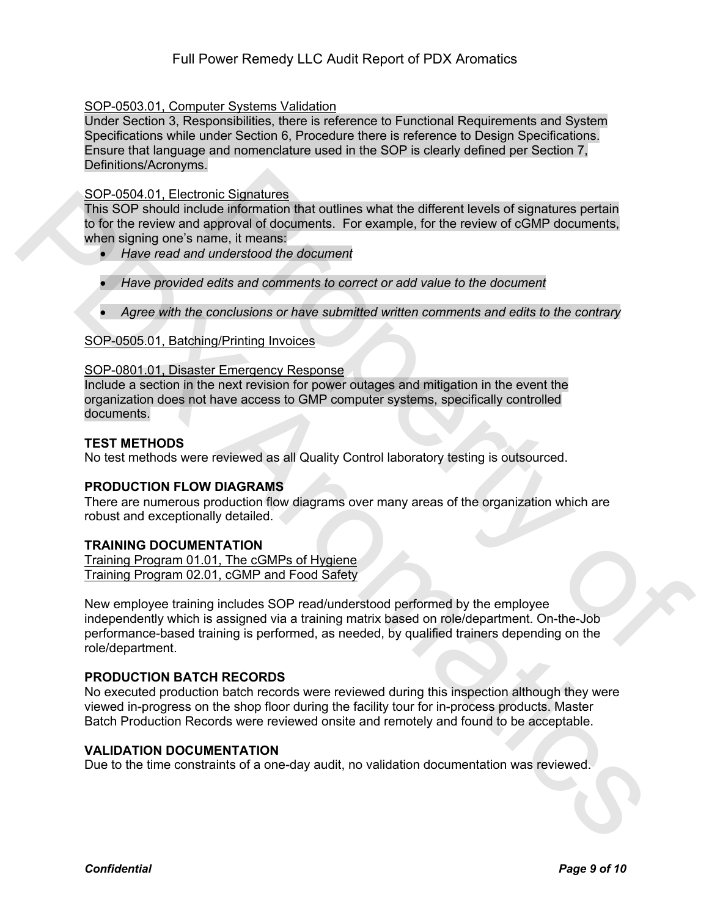## SOP-0503.01, Computer Systems Validation

Under Section 3, Responsibilities, there is reference to Functional Requirements and System Specifications while under Section 6, Procedure there is reference to Design Specifications. Ensure that language and nomenclature used in the SOP is clearly defined per Section 7, Definitions/Acronyms.

## SOP-0504.01, Electronic Signatures

This SOP should include information that outlines what the different levels of signatures pertain to for the review and approval of documents. For example, for the review of cGMP documents, when signing one's name, it means:

- *Have read and understood the document*
- *Have provided edits and comments to correct or add value to the document*
- *Agree with the conclusions or have submitted written comments and edits to the contrary*

## SOP-0505.01, Batching/Printing Invoices

#### SOP-0801.01, Disaster Emergency Response

Include a section in the next revision for power outages and mitigation in the event the organization does not have access to GMP computer systems, specifically controlled documents.

## **TEST METHODS**

No test methods were reviewed as all Quality Control laboratory testing is outsourced.

## **PRODUCTION FLOW DIAGRAMS**

There are numerous production flow diagrams over many areas of the organization which are robust and exceptionally detailed.

## **TRAINING DOCUMENTATION**

Training Program 01.01, The cGMPs of Hygiene Training Program 02.01, cGMP and Food Safety

New employee training includes SOP read/understood performed by the employee independently which is assigned via a training matrix based on role/department. On-the-Job performance-based training is performed, as needed, by qualified trainers depending on the role/department. inc. Signatures<br>
and einformation that outlines what the different levels of signatures pertain<br>
approval of documents. For example, for the review of cGMP documents,<br>
ame, it means:<br>
understood the document<br>
edits and com SOP-USA OT. Electronic Signatures <br>
This SOP smould include information that outlines what the different levels of signatures periality<br>
This SOP smould include information that outlines what the different velocity of the

## **PRODUCTION BATCH RECORDS**

No executed production batch records were reviewed during this inspection although they were viewed in-progress on the shop floor during the facility tour for in-process products. Master Batch Production Records were reviewed onsite and remotely and found to be acceptable.

#### **VALIDATION DOCUMENTATION**

Due to the time constraints of a one-day audit, no validation documentation was reviewed.